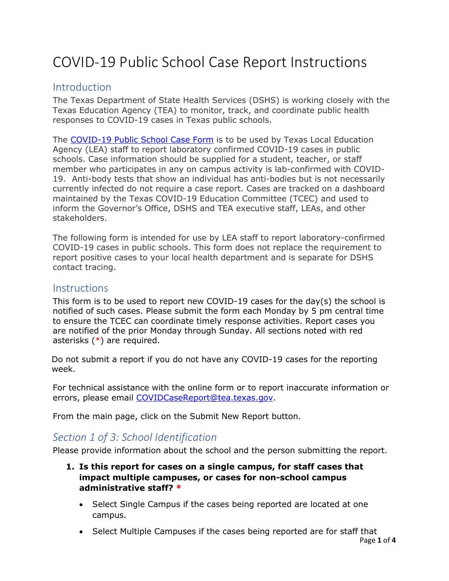# COVID-19 Public School Case Report Instructions

# Introduction

The Texas Department of State Health Services (DSHS) is working closely with the Texas Education Agency (TEA) to monitor, track, and coordinate public health responses to COVID-19 cases in Texas public schools.

The [COVID-19 Public School Case Form](https://txdshs.quickbase.com/db/bqrc8nie5?a=showpage&pageid=101) is to be used by Texas Local Education Agency (LEA) staff to report laboratory confirmed COVID-19 cases in public schools. Case information should be supplied for a student, teacher, or staff member who participates in any on campus activity is lab-confirmed with COVID-19. Anti-body tests that show an individual has anti-bodies but is not necessarily currently infected do not require a case report. Cases are tracked on a dashboard maintained by the Texas COVID-19 Education Committee (TCEC) and used to inform the Governor's Office, DSHS and TEA executive staff, LEAs, and other stakeholders.

The following form is intended for use by LEA staff to report laboratory-confirmed COVID-19 cases in public schools. This form does not replace the requirement to report positive cases to your local health department and is separate for DSHS contact tracing.

# **Instructions**

This form is to be used to report new COVID-19 cases for the day(s) the school is notified of such cases. Please submit the form each Monday by 5 pm central time to ensure the TCEC can coordinate timely response activities. Report cases you are notified of the prior Monday through Sunday. All sections noted with red asterisks (\*) are required.

Do not submit a report if you do not have any COVID-19 cases for the reporting week.

For technical assistance with the online form or to report inaccurate information or errors, please email [COVIDCaseReport@tea.texas.gov.](mailto:COVIDCaseReport@tea.texas.gov)

From the main page, click on the Submit New Report button.

# *Section 1 of 3: School Identification*

Please provide information about the school and the person submitting the report.

- **1. Is this report for cases on a single campus, for staff cases that impact multiple campuses, or cases for non-school campus administrative staff? \***
	- Select Single Campus if the cases being reported are located at one campus.
	- Select Multiple Campuses if the cases being reported are for staff that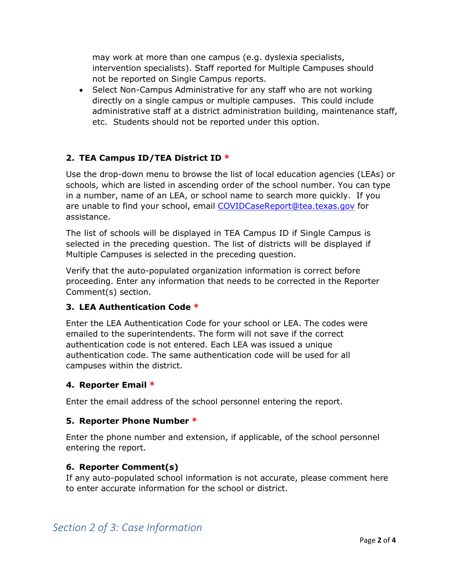may work at more than one campus (e.g. dyslexia specialists, intervention specialists). Staff reported for Multiple Campuses should not be reported on Single Campus reports.

• Select Non-Campus Administrative for any staff who are not working directly on a single campus or multiple campuses. This could include administrative staff at a district administration building, maintenance staff, etc. Students should not be reported under this option.

# **2. TEA Campus ID/TEA District ID \***

Use the drop-down menu to browse the list of local education agencies (LEAs) or schools, which are listed in ascending order of the school number. You can type in a number, name of an LEA, or school name to search more quickly. If you are unable to find your school, email [COVIDCaseReport@tea.texas.gov](mailto:COVIDCaseReport@tea.texas.gov) for assistance.

The list of schools will be displayed in TEA Campus ID if Single Campus is selected in the preceding question. The list of districts will be displayed if Multiple Campuses is selected in the preceding question.

Verify that the auto-populated organization information is correct before proceeding. Enter any information that needs to be corrected in the Reporter Comment(s) section.

# **3. LEA Authentication Code \***

Enter the LEA Authentication Code for your school or LEA. The codes were emailed to the superintendents. The form will not save if the correct authentication code is not entered. Each LEA was issued a unique authentication code. The same authentication code will be used for all campuses within the district.

#### **4. Reporter Email \***

Enter the email address of the school personnel entering the report.

# **5. Reporter Phone Number \***

Enter the phone number and extension, if applicable, of the school personnel entering the report.

# **6. Reporter Comment(s)**

If any auto-populated school information is not accurate, please comment here to enter accurate information for the school or district.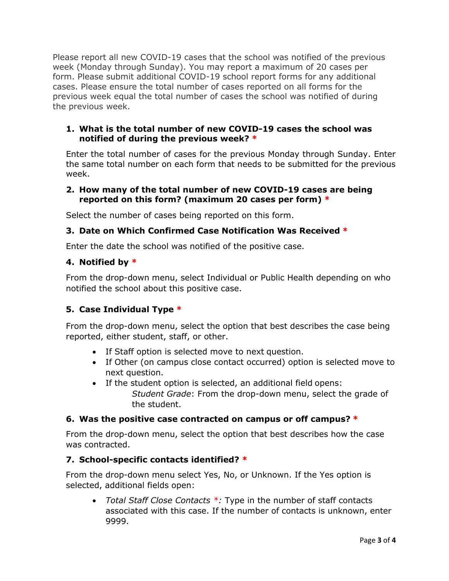Please report all new COVID-19 cases that the school was notified of the previous week (Monday through Sunday). You may report a maximum of 20 cases per form. Please submit additional COVID-19 school report forms for any additional cases. Please ensure the total number of cases reported on all forms for the previous week equal the total number of cases the school was notified of during the previous week.

#### **1. What is the total number of new COVID-19 cases the school was notified of during the previous week? \***

Enter the total number of cases for the previous Monday through Sunday. Enter the same total number on each form that needs to be submitted for the previous week.

#### **2. How many of the total number of new COVID-19 cases are being reported on this form? (maximum 20 cases per form) \***

Select the number of cases being reported on this form.

#### **3. Date on Which Confirmed Case Notification Was Received \***

Enter the date the school was notified of the positive case.

#### **4. Notified by \***

From the drop-down menu, select Individual or Public Health depending on who notified the school about this positive case.

# **5. Case Individual Type \***

From the drop-down menu, select the option that best describes the case being reported, either student, staff, or other.

- If Staff option is selected move to next question.
- If Other (on campus close contact occurred) option is selected move to next question.
- If the student option is selected, an additional field opens: *Student Grade*: From the drop-down menu, select the grade of the student.

#### **6. Was the positive case contracted on campus or off campus? \***

From the drop-down menu, select the option that best describes how the case was contracted.

#### **7. School-specific contacts identified? \***

From the drop-down menu select Yes, No, or Unknown. If the Yes option is selected, additional fields open:

• *Total Staff Close Contacts \*:* Type in the number of staff contacts associated with this case. If the number of contacts is unknown, enter 9999.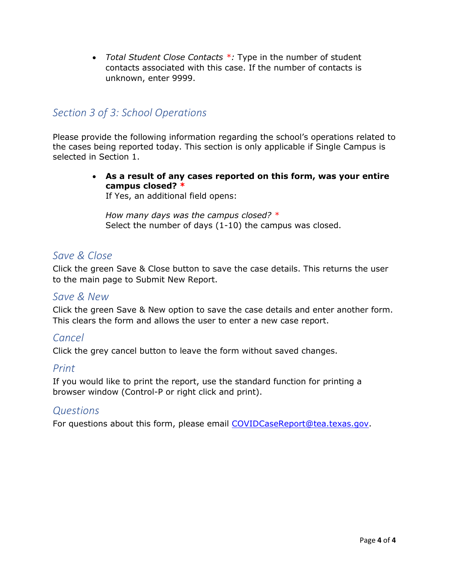• *Total Student Close Contacts \*:* Type in the number of student contacts associated with this case. If the number of contacts is unknown, enter 9999.

# *Section 3 of 3: School Operations*

Please provide the following information regarding the school's operations related to the cases being reported today. This section is only applicable if Single Campus is selected in Section 1.

> • **As a result of any cases reported on this form, was your entire campus closed? \***

If Yes, an additional field opens:

*How many days was the campus closed? \** Select the number of days (1-10) the campus was closed.

# *Save & Close*

Click the green Save & Close button to save the case details. This returns the user to the main page to Submit New Report.

# *Save & New*

Click the green Save & New option to save the case details and enter another form. This clears the form and allows the user to enter a new case report.

# *Cancel*

Click the grey cancel button to leave the form without saved changes.

# *Print*

If you would like to print the report, use the standard function for printing a browser window (Control-P or right click and print).

# *Questions*

For questions about this form, please email [COVIDCaseReport@tea.texas.gov.](mailto:COVIDCaseReport@tea.texas.gov)